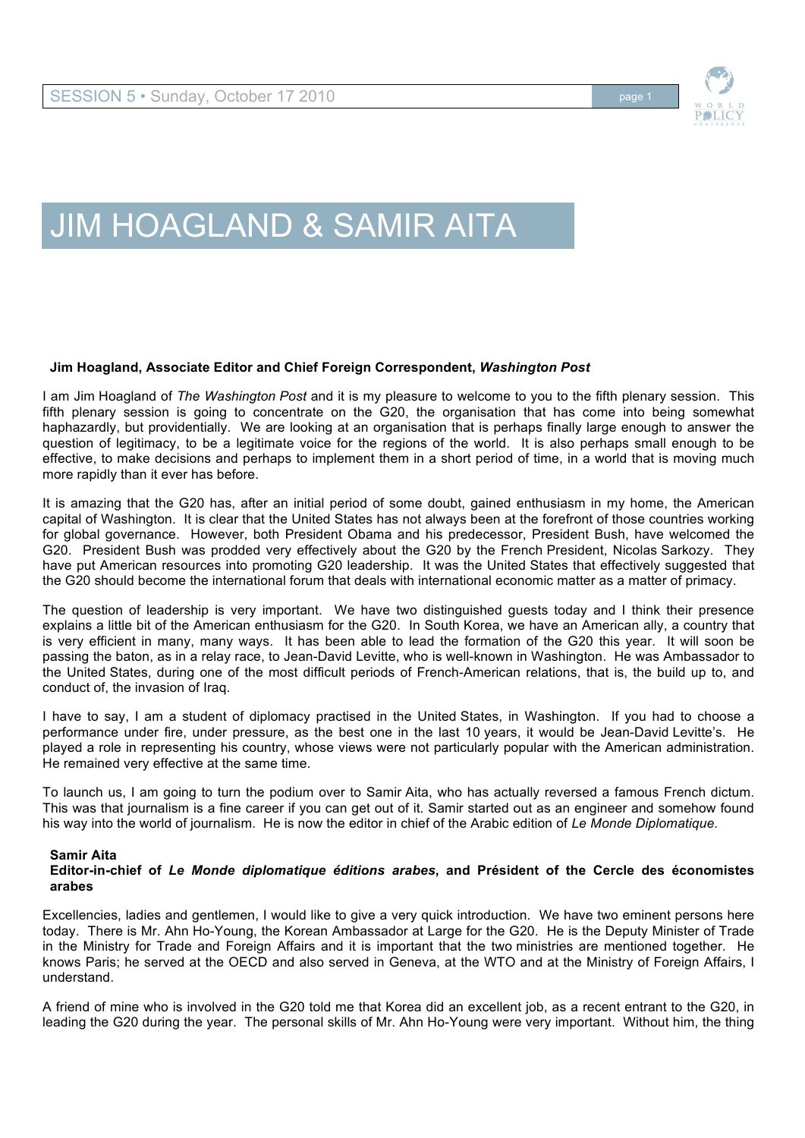

## JIM HOAGLAND & SAMIR AITA

## **Jim Hoagland, Associate Editor and Chief Foreign Correspondent,** *Washington Post*

I am Jim Hoagland of *The Washington Post* and it is my pleasure to welcome to you to the fifth plenary session. This fifth plenary session is going to concentrate on the G20, the organisation that has come into being somewhat haphazardly, but providentially. We are looking at an organisation that is perhaps finally large enough to answer the question of legitimacy, to be a legitimate voice for the regions of the world. It is also perhaps small enough to be effective, to make decisions and perhaps to implement them in a short period of time, in a world that is moving much more rapidly than it ever has before.

It is amazing that the G20 has, after an initial period of some doubt, gained enthusiasm in my home, the American capital of Washington. It is clear that the United States has not always been at the forefront of those countries working for global governance. However, both President Obama and his predecessor, President Bush, have welcomed the G20. President Bush was prodded very effectively about the G20 by the French President, Nicolas Sarkozy. They have put American resources into promoting G20 leadership. It was the United States that effectively suggested that the G20 should become the international forum that deals with international economic matter as a matter of primacy.

The question of leadership is very important. We have two distinguished guests today and I think their presence explains a little bit of the American enthusiasm for the G20. In South Korea, we have an American ally, a country that is very efficient in many, many ways. It has been able to lead the formation of the G20 this year. It will soon be passing the baton, as in a relay race, to Jean-David Levitte, who is well-known in Washington. He was Ambassador to the United States, during one of the most difficult periods of French-American relations, that is, the build up to, and conduct of, the invasion of Iraq.

I have to say, I am a student of diplomacy practised in the United States, in Washington. If you had to choose a performance under fire, under pressure, as the best one in the last 10 years, it would be Jean-David Levitte's. He played a role in representing his country, whose views were not particularly popular with the American administration. He remained very effective at the same time.

To launch us, I am going to turn the podium over to Samir Aita, who has actually reversed a famous French dictum. This was that journalism is a fine career if you can get out of it. Samir started out as an engineer and somehow found his way into the world of journalism. He is now the editor in chief of the Arabic edition of *Le Monde Diplomatique.*

## **Samir Aita**

## **Editor-in-chief of** *Le Monde diplomatique éditions arabes***, and Président of the Cercle des économistes arabes**

Excellencies, ladies and gentlemen, I would like to give a very quick introduction. We have two eminent persons here today. There is Mr. Ahn Ho-Young, the Korean Ambassador at Large for the G20. He is the Deputy Minister of Trade in the Ministry for Trade and Foreign Affairs and it is important that the two ministries are mentioned together. He knows Paris; he served at the OECD and also served in Geneva, at the WTO and at the Ministry of Foreign Affairs, I understand.

A friend of mine who is involved in the G20 told me that Korea did an excellent job, as a recent entrant to the G20, in leading the G20 during the year. The personal skills of Mr. Ahn Ho-Young were very important. Without him, the thing